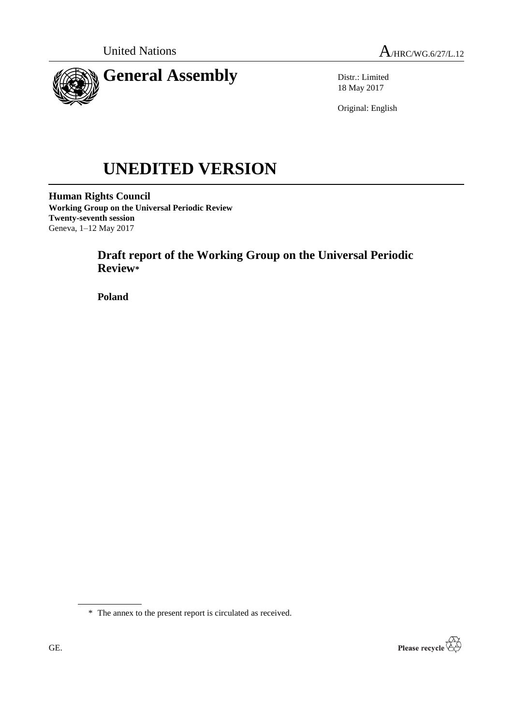



Distr.: Limited 18 May 2017

Original: English

# **UNEDITED VERSION**

**Human Rights Council Working Group on the Universal Periodic Review Twenty-seventh session** Geneva, 1–12 May 2017

# **Draft report of the Working Group on the Universal Periodic Review\***

**Poland**



<sup>\*</sup> The annex to the present report is circulated as received.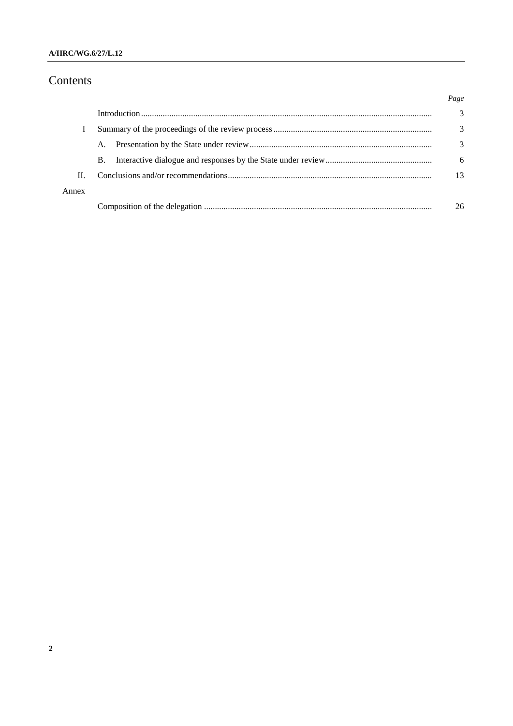# Contents

|       |           | Page |
|-------|-----------|------|
|       |           | 3    |
|       |           | 3    |
|       | A.        | 3    |
|       | <b>B.</b> | 6    |
| H.    |           | 13   |
| Annex |           |      |
|       |           | 26   |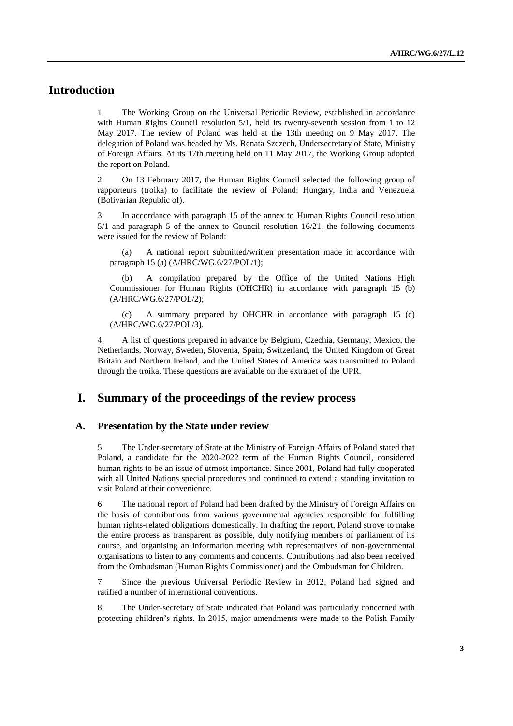# **Introduction**

1. The Working Group on the Universal Periodic Review, established in accordance with Human Rights Council resolution 5/1, held its twenty-seventh session from 1 to 12 May 2017. The review of Poland was held at the 13th meeting on 9 May 2017. The delegation of Poland was headed by Ms. Renata Szczech, Undersecretary of State, Ministry of Foreign Affairs. At its 17th meeting held on 11 May 2017, the Working Group adopted the report on Poland.

2. On 13 February 2017, the Human Rights Council selected the following group of rapporteurs (troika) to facilitate the review of Poland: Hungary, India and Venezuela (Bolivarian Republic of).

3. In accordance with paragraph 15 of the annex to Human Rights Council resolution 5/1 and paragraph 5 of the annex to Council resolution 16/21, the following documents were issued for the review of Poland:

(a) A national report submitted/written presentation made in accordance with paragraph 15 (a) (A/HRC/WG.6/27/POL/1);

(b) A compilation prepared by the Office of the United Nations High Commissioner for Human Rights (OHCHR) in accordance with paragraph 15 (b) (A/HRC/WG.6/27/POL/2);

(c) A summary prepared by OHCHR in accordance with paragraph 15 (c) (A/HRC/WG.6/27/POL/3).

4. A list of questions prepared in advance by Belgium, Czechia, Germany, Mexico, the Netherlands, Norway, Sweden, Slovenia, Spain, Switzerland, the United Kingdom of Great Britain and Northern Ireland, and the United States of America was transmitted to Poland through the troika. These questions are available on the extranet of the UPR.

## **I. Summary of the proceedings of the review process**

#### **A. Presentation by the State under review**

5. The Under-secretary of State at the Ministry of Foreign Affairs of Poland stated that Poland, a candidate for the 2020-2022 term of the Human Rights Council, considered human rights to be an issue of utmost importance. Since 2001, Poland had fully cooperated with all United Nations special procedures and continued to extend a standing invitation to visit Poland at their convenience.

6. The national report of Poland had been drafted by the Ministry of Foreign Affairs on the basis of contributions from various governmental agencies responsible for fulfilling human rights-related obligations domestically. In drafting the report, Poland strove to make the entire process as transparent as possible, duly notifying members of parliament of its course, and organising an information meeting with representatives of non-governmental organisations to listen to any comments and concerns. Contributions had also been received from the Ombudsman (Human Rights Commissioner) and the Ombudsman for Children.

7. Since the previous Universal Periodic Review in 2012, Poland had signed and ratified a number of international conventions.

8. The Under-secretary of State indicated that Poland was particularly concerned with protecting children's rights. In 2015, major amendments were made to the Polish Family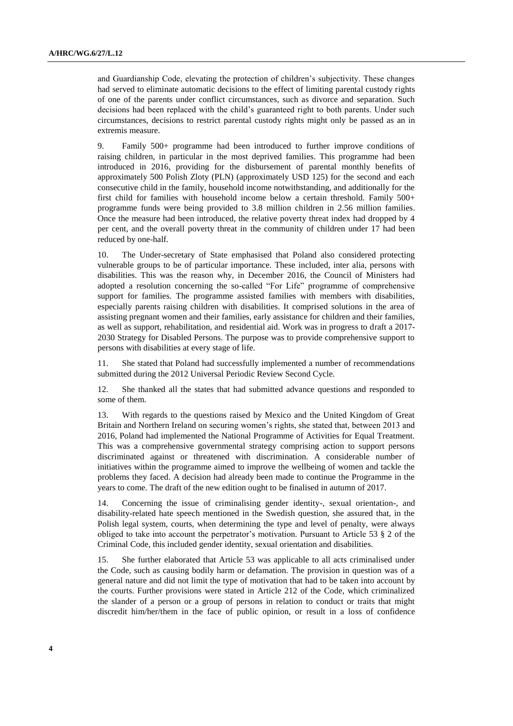and Guardianship Code, elevating the protection of children's subjectivity. These changes had served to eliminate automatic decisions to the effect of limiting parental custody rights of one of the parents under conflict circumstances, such as divorce and separation. Such decisions had been replaced with the child's guaranteed right to both parents. Under such circumstances, decisions to restrict parental custody rights might only be passed as an in extremis measure.

9. Family 500+ programme had been introduced to further improve conditions of raising children, in particular in the most deprived families. This programme had been introduced in 2016, providing for the disbursement of parental monthly benefits of approximately 500 Polish Zloty (PLN) (approximately USD 125) for the second and each consecutive child in the family, household income notwithstanding, and additionally for the first child for families with household income below a certain threshold. Family 500+ programme funds were being provided to 3.8 million children in 2.56 million families. Once the measure had been introduced, the relative poverty threat index had dropped by 4 per cent, and the overall poverty threat in the community of children under 17 had been reduced by one-half.

10. The Under-secretary of State emphasised that Poland also considered protecting vulnerable groups to be of particular importance. These included, inter alia, persons with disabilities. This was the reason why, in December 2016, the Council of Ministers had adopted a resolution concerning the so-called "For Life" programme of comprehensive support for families. The programme assisted families with members with disabilities, especially parents raising children with disabilities. It comprised solutions in the area of assisting pregnant women and their families, early assistance for children and their families, as well as support, rehabilitation, and residential aid. Work was in progress to draft a 2017- 2030 Strategy for Disabled Persons. The purpose was to provide comprehensive support to persons with disabilities at every stage of life.

11. She stated that Poland had successfully implemented a number of recommendations submitted during the 2012 Universal Periodic Review Second Cycle.

12. She thanked all the states that had submitted advance questions and responded to some of them.

13. With regards to the questions raised by Mexico and the United Kingdom of Great Britain and Northern Ireland on securing women's rights, she stated that, between 2013 and 2016, Poland had implemented the National Programme of Activities for Equal Treatment. This was a comprehensive governmental strategy comprising action to support persons discriminated against or threatened with discrimination. A considerable number of initiatives within the programme aimed to improve the wellbeing of women and tackle the problems they faced. A decision had already been made to continue the Programme in the years to come. The draft of the new edition ought to be finalised in autumn of 2017.

14. Concerning the issue of criminalising gender identity-, sexual orientation-, and disability-related hate speech mentioned in the Swedish question, she assured that, in the Polish legal system, courts, when determining the type and level of penalty, were always obliged to take into account the perpetrator's motivation. Pursuant to Article 53 § 2 of the Criminal Code, this included gender identity, sexual orientation and disabilities.

15. She further elaborated that Article 53 was applicable to all acts criminalised under the Code, such as causing bodily harm or defamation. The provision in question was of a general nature and did not limit the type of motivation that had to be taken into account by the courts. Further provisions were stated in Article 212 of the Code, which criminalized the slander of a person or a group of persons in relation to conduct or traits that might discredit him/her/them in the face of public opinion, or result in a loss of confidence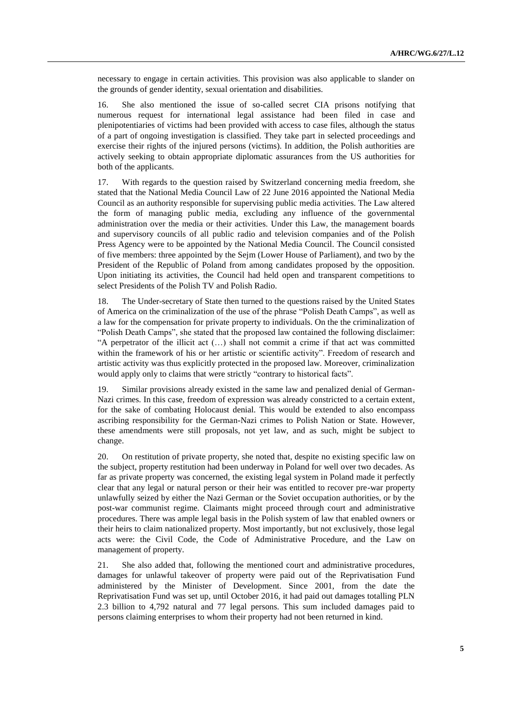necessary to engage in certain activities. This provision was also applicable to slander on the grounds of gender identity, sexual orientation and disabilities.

16. She also mentioned the issue of so-called secret CIA prisons notifying that numerous request for international legal assistance had been filed in case and plenipotentiaries of victims had been provided with access to case files, although the status of a part of ongoing investigation is classified. They take part in selected proceedings and exercise their rights of the injured persons (victims). In addition, the Polish authorities are actively seeking to obtain appropriate diplomatic assurances from the US authorities for both of the applicants.

17. With regards to the question raised by Switzerland concerning media freedom, she stated that the National Media Council Law of 22 June 2016 appointed the National Media Council as an authority responsible for supervising public media activities. The Law altered the form of managing public media, excluding any influence of the governmental administration over the media or their activities. Under this Law, the management boards and supervisory councils of all public radio and television companies and of the Polish Press Agency were to be appointed by the National Media Council. The Council consisted of five members: three appointed by the Sejm (Lower House of Parliament), and two by the President of the Republic of Poland from among candidates proposed by the opposition. Upon initiating its activities, the Council had held open and transparent competitions to select Presidents of the Polish TV and Polish Radio.

18. The Under-secretary of State then turned to the questions raised by the United States of America on the criminalization of the use of the phrase "Polish Death Camps", as well as a law for the compensation for private property to individuals. On the the criminalization of "Polish Death Camps", she stated that the proposed law contained the following disclaimer: "A perpetrator of the illicit act (…) shall not commit a crime if that act was committed within the framework of his or her artistic or scientific activity". Freedom of research and artistic activity was thus explicitly protected in the proposed law. Moreover, criminalization would apply only to claims that were strictly "contrary to historical facts".

19. Similar provisions already existed in the same law and penalized denial of German-Nazi crimes. In this case, freedom of expression was already constricted to a certain extent, for the sake of combating Holocaust denial. This would be extended to also encompass ascribing responsibility for the German-Nazi crimes to Polish Nation or State. However, these amendments were still proposals, not yet law, and as such, might be subject to change.

20. On restitution of private property, she noted that, despite no existing specific law on the subject, property restitution had been underway in Poland for well over two decades. As far as private property was concerned, the existing legal system in Poland made it perfectly clear that any legal or natural person or their heir was entitled to recover pre-war property unlawfully seized by either the Nazi German or the Soviet occupation authorities, or by the post-war communist regime. Claimants might proceed through court and administrative procedures. There was ample legal basis in the Polish system of law that enabled owners or their heirs to claim nationalized property. Most importantly, but not exclusively, those legal acts were: the Civil Code, the Code of Administrative Procedure, and the Law on management of property.

21. She also added that, following the mentioned court and administrative procedures, damages for unlawful takeover of property were paid out of the Reprivatisation Fund administered by the Minister of Development. Since 2001, from the date the Reprivatisation Fund was set up, until October 2016, it had paid out damages totalling PLN 2.3 billion to 4,792 natural and 77 legal persons. This sum included damages paid to persons claiming enterprises to whom their property had not been returned in kind.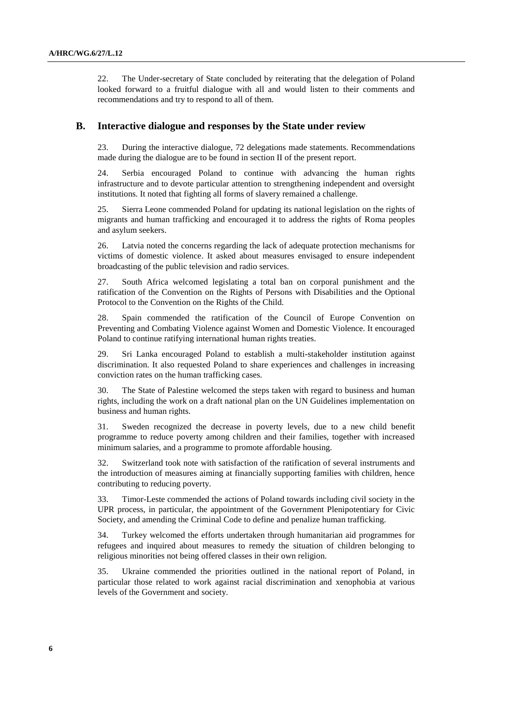22. The Under-secretary of State concluded by reiterating that the delegation of Poland looked forward to a fruitful dialogue with all and would listen to their comments and recommendations and try to respond to all of them.

#### **B. Interactive dialogue and responses by the State under review**

23. During the interactive dialogue, 72 delegations made statements. Recommendations made during the dialogue are to be found in section II of the present report.

24. Serbia encouraged Poland to continue with advancing the human rights infrastructure and to devote particular attention to strengthening independent and oversight institutions. It noted that fighting all forms of slavery remained a challenge.

25. Sierra Leone commended Poland for updating its national legislation on the rights of migrants and human trafficking and encouraged it to address the rights of Roma peoples and asylum seekers.

26. Latvia noted the concerns regarding the lack of adequate protection mechanisms for victims of domestic violence. It asked about measures envisaged to ensure independent broadcasting of the public television and radio services.

27. South Africa welcomed legislating a total ban on corporal punishment and the ratification of the Convention on the Rights of Persons with Disabilities and the Optional Protocol to the Convention on the Rights of the Child.

28. Spain commended the ratification of the Council of Europe Convention on Preventing and Combating Violence against Women and Domestic Violence. It encouraged Poland to continue ratifying international human rights treaties.

29. Sri Lanka encouraged Poland to establish a multi-stakeholder institution against discrimination. It also requested Poland to share experiences and challenges in increasing conviction rates on the human trafficking cases.

30. The State of Palestine welcomed the steps taken with regard to business and human rights, including the work on a draft national plan on the UN Guidelines implementation on business and human rights.

31. Sweden recognized the decrease in poverty levels, due to a new child benefit programme to reduce poverty among children and their families, together with increased minimum salaries, and a programme to promote affordable housing.

32. Switzerland took note with satisfaction of the ratification of several instruments and the introduction of measures aiming at financially supporting families with children, hence contributing to reducing poverty.

33. Timor-Leste commended the actions of Poland towards including civil society in the UPR process, in particular, the appointment of the Government Plenipotentiary for Civic Society, and amending the Criminal Code to define and penalize human trafficking.

34. Turkey welcomed the efforts undertaken through humanitarian aid programmes for refugees and inquired about measures to remedy the situation of children belonging to religious minorities not being offered classes in their own religion.

35. Ukraine commended the priorities outlined in the national report of Poland, in particular those related to work against racial discrimination and xenophobia at various levels of the Government and society.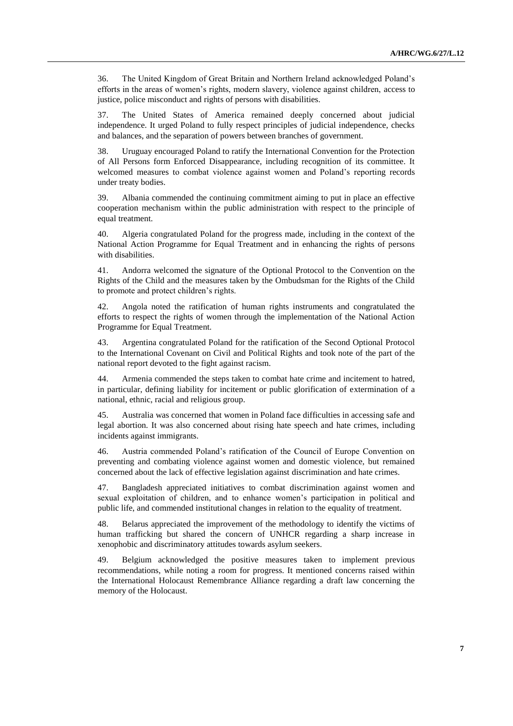36. The United Kingdom of Great Britain and Northern Ireland acknowledged Poland's efforts in the areas of women's rights, modern slavery, violence against children, access to justice, police misconduct and rights of persons with disabilities.

37. The United States of America remained deeply concerned about judicial independence. It urged Poland to fully respect principles of judicial independence, checks and balances, and the separation of powers between branches of government.

38. Uruguay encouraged Poland to ratify the International Convention for the Protection of All Persons form Enforced Disappearance, including recognition of its committee. It welcomed measures to combat violence against women and Poland's reporting records under treaty bodies.

39. Albania commended the continuing commitment aiming to put in place an effective cooperation mechanism within the public administration with respect to the principle of equal treatment.

40. Algeria congratulated Poland for the progress made, including in the context of the National Action Programme for Equal Treatment and in enhancing the rights of persons with disabilities.

41. Andorra welcomed the signature of the Optional Protocol to the Convention on the Rights of the Child and the measures taken by the Ombudsman for the Rights of the Child to promote and protect children's rights.

42. Angola noted the ratification of human rights instruments and congratulated the efforts to respect the rights of women through the implementation of the National Action Programme for Equal Treatment.

43. Argentina congratulated Poland for the ratification of the Second Optional Protocol to the International Covenant on Civil and Political Rights and took note of the part of the national report devoted to the fight against racism.

44. Armenia commended the steps taken to combat hate crime and incitement to hatred, in particular, defining liability for incitement or public glorification of extermination of a national, ethnic, racial and religious group.

45. Australia was concerned that women in Poland face difficulties in accessing safe and legal abortion. It was also concerned about rising hate speech and hate crimes, including incidents against immigrants.

46. Austria commended Poland's ratification of the Council of Europe Convention on preventing and combating violence against women and domestic violence, but remained concerned about the lack of effective legislation against discrimination and hate crimes.

47. Bangladesh appreciated initiatives to combat discrimination against women and sexual exploitation of children, and to enhance women's participation in political and public life, and commended institutional changes in relation to the equality of treatment.

48. Belarus appreciated the improvement of the methodology to identify the victims of human trafficking but shared the concern of UNHCR regarding a sharp increase in xenophobic and discriminatory attitudes towards asylum seekers.

49. Belgium acknowledged the positive measures taken to implement previous recommendations, while noting a room for progress. It mentioned concerns raised within the International Holocaust Remembrance Alliance regarding a draft law concerning the memory of the Holocaust.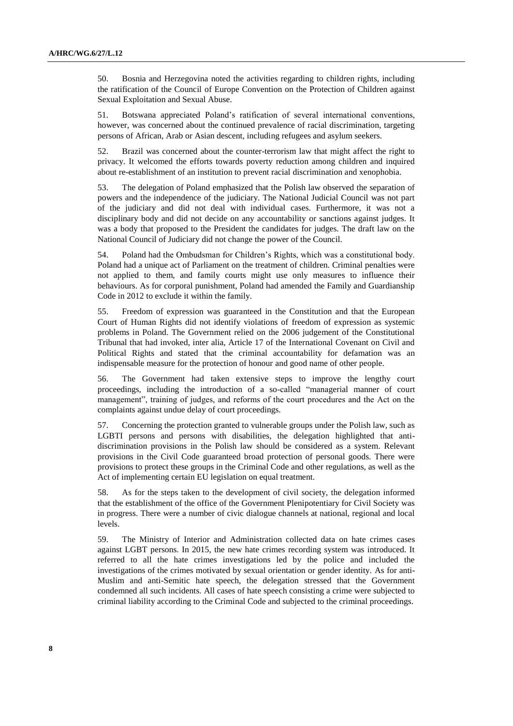50. Bosnia and Herzegovina noted the activities regarding to children rights, including the ratification of the Council of Europe Convention on the Protection of Children against Sexual Exploitation and Sexual Abuse.

51. Botswana appreciated Poland's ratification of several international conventions, however, was concerned about the continued prevalence of racial discrimination, targeting persons of African, Arab or Asian descent, including refugees and asylum seekers.

52. Brazil was concerned about the counter-terrorism law that might affect the right to privacy. It welcomed the efforts towards poverty reduction among children and inquired about re-establishment of an institution to prevent racial discrimination and xenophobia.

53. The delegation of Poland emphasized that the Polish law observed the separation of powers and the independence of the judiciary. The National Judicial Council was not part of the judiciary and did not deal with individual cases. Furthermore, it was not a disciplinary body and did not decide on any accountability or sanctions against judges. It was a body that proposed to the President the candidates for judges. The draft law on the National Council of Judiciary did not change the power of the Council.

54. Poland had the Ombudsman for Children's Rights, which was a constitutional body. Poland had a unique act of Parliament on the treatment of children. Criminal penalties were not applied to them, and family courts might use only measures to influence their behaviours. As for corporal punishment, Poland had amended the Family and Guardianship Code in 2012 to exclude it within the family.

55. Freedom of expression was guaranteed in the Constitution and that the European Court of Human Rights did not identify violations of freedom of expression as systemic problems in Poland. The Government relied on the 2006 judgement of the Constitutional Tribunal that had invoked, inter alia, Article 17 of the International Covenant on Civil and Political Rights and stated that the criminal accountability for defamation was an indispensable measure for the protection of honour and good name of other people.

56. The Government had taken extensive steps to improve the lengthy court proceedings, including the introduction of a so-called "managerial manner of court management", training of judges, and reforms of the court procedures and the Act on the complaints against undue delay of court proceedings.

57. Concerning the protection granted to vulnerable groups under the Polish law, such as LGBTI persons and persons with disabilities, the delegation highlighted that antidiscrimination provisions in the Polish law should be considered as a system. Relevant provisions in the Civil Code guaranteed broad protection of personal goods. There were provisions to protect these groups in the Criminal Code and other regulations, as well as the Act of implementing certain EU legislation on equal treatment.

58. As for the steps taken to the development of civil society, the delegation informed that the establishment of the office of the Government Plenipotentiary for Civil Society was in progress. There were a number of civic dialogue channels at national, regional and local levels.

59. The Ministry of Interior and Administration collected data on hate crimes cases against LGBT persons. In 2015, the new hate crimes recording system was introduced. It referred to all the hate crimes investigations led by the police and included the investigations of the crimes motivated by sexual orientation or gender identity. As for anti-Muslim and anti-Semitic hate speech, the delegation stressed that the Government condemned all such incidents. All cases of hate speech consisting a crime were subjected to criminal liability according to the Criminal Code and subjected to the criminal proceedings.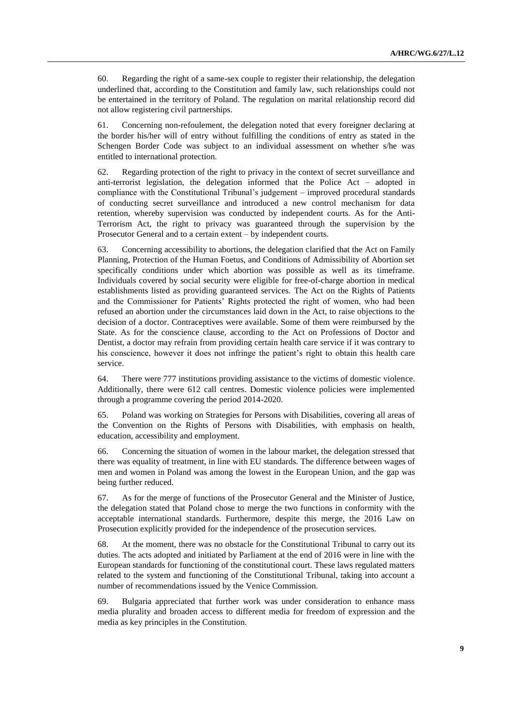60. Regarding the right of a same-sex couple to register their relationship, the delegation underlined that, according to the Constitution and family law, such relationships could not be entertained in the territory of Poland. The regulation on marital relationship record did not allow registering civil partnerships.

61. Concerning non-refoulement, the delegation noted that every foreigner declaring at the border his/her will of entry without fulfilling the conditions of entry as stated in the Schengen Border Code was subject to an individual assessment on whether s/he was entitled to international protection.

62. Regarding protection of the right to privacy in the context of secret surveillance and anti-terrorist legislation, the delegation informed that the Police Act – adopted in compliance with the Constitutional Tribunal's judgement – improved procedural standards of conducting secret surveillance and introduced a new control mechanism for data retention, whereby supervision was conducted by independent courts. As for the Anti-Terrorism Act, the right to privacy was guaranteed through the supervision by the Prosecutor General and to a certain extent – by independent courts.

63. Concerning accessibility to abortions, the delegation clarified that the Act on Family Planning, Protection of the Human Foetus, and Conditions of Admissibility of Abortion set specifically conditions under which abortion was possible as well as its timeframe. Individuals covered by social security were eligible for free-of-charge abortion in medical establishments listed as providing guaranteed services. The Act on the Rights of Patients and the Commissioner for Patients' Rights protected the right of women, who had been refused an abortion under the circumstances laid down in the Act, to raise objections to the decision of a doctor. Contraceptives were available. Some of them were reimbursed by the State. As for the conscience clause, according to the Act on Professions of Doctor and Dentist, a doctor may refrain from providing certain health care service if it was contrary to his conscience, however it does not infringe the patient's right to obtain this health care service.

64. There were 777 institutions providing assistance to the victims of domestic violence. Additionally, there were 612 call centres. Domestic violence policies were implemented through a programme covering the period 2014-2020.

65. Poland was working on Strategies for Persons with Disabilities, covering all areas of the Convention on the Rights of Persons with Disabilities, with emphasis on health, education, accessibility and employment.

66. Concerning the situation of women in the labour market, the delegation stressed that there was equality of treatment, in line with EU standards. The difference between wages of men and women in Poland was among the lowest in the European Union, and the gap was being further reduced.

67. As for the merge of functions of the Prosecutor General and the Minister of Justice, the delegation stated that Poland chose to merge the two functions in conformity with the acceptable international standards. Furthermore, despite this merge, the 2016 Law on Prosecution explicitly provided for the independence of the prosecution services.

68. At the moment, there was no obstacle for the Constitutional Tribunal to carry out its duties. The acts adopted and initiated by Parliament at the end of 2016 were in line with the European standards for functioning of the constitutional court. These laws regulated matters related to the system and functioning of the Constitutional Tribunal, taking into account a number of recommendations issued by the Venice Commission.

69. Bulgaria appreciated that further work was under consideration to enhance mass media plurality and broaden access to different media for freedom of expression and the media as key principles in the Constitution.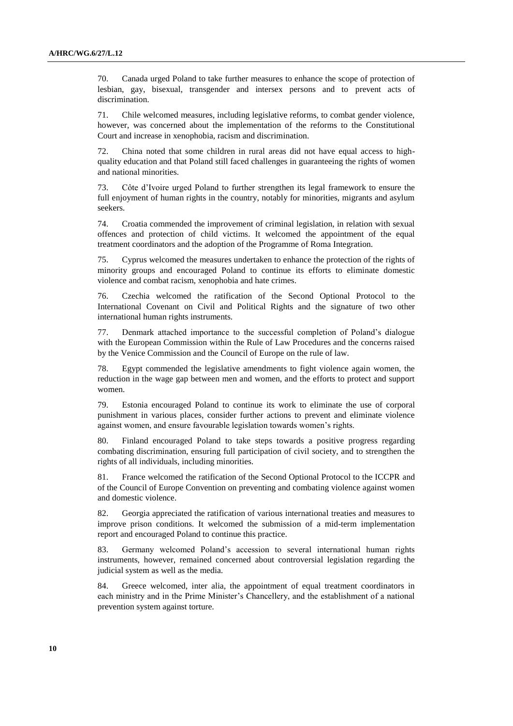70. Canada urged Poland to take further measures to enhance the scope of protection of lesbian, gay, bisexual, transgender and intersex persons and to prevent acts of discrimination.

71. Chile welcomed measures, including legislative reforms, to combat gender violence, however, was concerned about the implementation of the reforms to the Constitutional Court and increase in xenophobia, racism and discrimination.

72. China noted that some children in rural areas did not have equal access to highquality education and that Poland still faced challenges in guaranteeing the rights of women and national minorities.

73. Côte d'Ivoire urged Poland to further strengthen its legal framework to ensure the full enjoyment of human rights in the country, notably for minorities, migrants and asylum seekers.

74. Croatia commended the improvement of criminal legislation, in relation with sexual offences and protection of child victims. It welcomed the appointment of the equal treatment coordinators and the adoption of the Programme of Roma Integration.

75. Cyprus welcomed the measures undertaken to enhance the protection of the rights of minority groups and encouraged Poland to continue its efforts to eliminate domestic violence and combat racism, xenophobia and hate crimes.

76. Czechia welcomed the ratification of the Second Optional Protocol to the International Covenant on Civil and Political Rights and the signature of two other international human rights instruments.

77. Denmark attached importance to the successful completion of Poland's dialogue with the European Commission within the Rule of Law Procedures and the concerns raised by the Venice Commission and the Council of Europe on the rule of law.

78. Egypt commended the legislative amendments to fight violence again women, the reduction in the wage gap between men and women, and the efforts to protect and support women.

79. Estonia encouraged Poland to continue its work to eliminate the use of corporal punishment in various places, consider further actions to prevent and eliminate violence against women, and ensure favourable legislation towards women's rights.

80. Finland encouraged Poland to take steps towards a positive progress regarding combating discrimination, ensuring full participation of civil society, and to strengthen the rights of all individuals, including minorities.

81. France welcomed the ratification of the Second Optional Protocol to the ICCPR and of the Council of Europe Convention on preventing and combating violence against women and domestic violence.

82. Georgia appreciated the ratification of various international treaties and measures to improve prison conditions. It welcomed the submission of a mid-term implementation report and encouraged Poland to continue this practice.

83. Germany welcomed Poland's accession to several international human rights instruments, however, remained concerned about controversial legislation regarding the judicial system as well as the media.

84. Greece welcomed, inter alia, the appointment of equal treatment coordinators in each ministry and in the Prime Minister's Chancellery, and the establishment of a national prevention system against torture.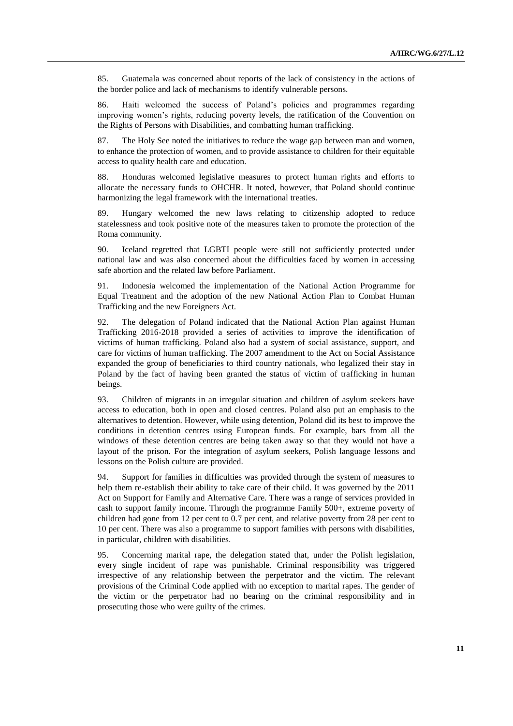85. Guatemala was concerned about reports of the lack of consistency in the actions of the border police and lack of mechanisms to identify vulnerable persons.

86. Haiti welcomed the success of Poland's policies and programmes regarding improving women's rights, reducing poverty levels, the ratification of the Convention on the Rights of Persons with Disabilities, and combatting human trafficking.

87. The Holy See noted the initiatives to reduce the wage gap between man and women, to enhance the protection of women, and to provide assistance to children for their equitable access to quality health care and education.

88. Honduras welcomed legislative measures to protect human rights and efforts to allocate the necessary funds to OHCHR. It noted, however, that Poland should continue harmonizing the legal framework with the international treaties.

89. Hungary welcomed the new laws relating to citizenship adopted to reduce statelessness and took positive note of the measures taken to promote the protection of the Roma community.

90. Iceland regretted that LGBTI people were still not sufficiently protected under national law and was also concerned about the difficulties faced by women in accessing safe abortion and the related law before Parliament.

91. Indonesia welcomed the implementation of the National Action Programme for Equal Treatment and the adoption of the new National Action Plan to Combat Human Trafficking and the new Foreigners Act.

92. The delegation of Poland indicated that the National Action Plan against Human Trafficking 2016-2018 provided a series of activities to improve the identification of victims of human trafficking. Poland also had a system of social assistance, support, and care for victims of human trafficking. The 2007 amendment to the Act on Social Assistance expanded the group of beneficiaries to third country nationals, who legalized their stay in Poland by the fact of having been granted the status of victim of trafficking in human beings.

93. Children of migrants in an irregular situation and children of asylum seekers have access to education, both in open and closed centres. Poland also put an emphasis to the alternatives to detention. However, while using detention, Poland did its best to improve the conditions in detention centres using European funds. For example, bars from all the windows of these detention centres are being taken away so that they would not have a layout of the prison. For the integration of asylum seekers, Polish language lessons and lessons on the Polish culture are provided.

94. Support for families in difficulties was provided through the system of measures to help them re-establish their ability to take care of their child. It was governed by the 2011 Act on Support for Family and Alternative Care. There was a range of services provided in cash to support family income. Through the programme Family 500+, extreme poverty of children had gone from 12 per cent to 0.7 per cent, and relative poverty from 28 per cent to 10 per cent. There was also a programme to support families with persons with disabilities, in particular, children with disabilities.

95. Concerning marital rape, the delegation stated that, under the Polish legislation, every single incident of rape was punishable. Criminal responsibility was triggered irrespective of any relationship between the perpetrator and the victim. The relevant provisions of the Criminal Code applied with no exception to marital rapes. The gender of the victim or the perpetrator had no bearing on the criminal responsibility and in prosecuting those who were guilty of the crimes.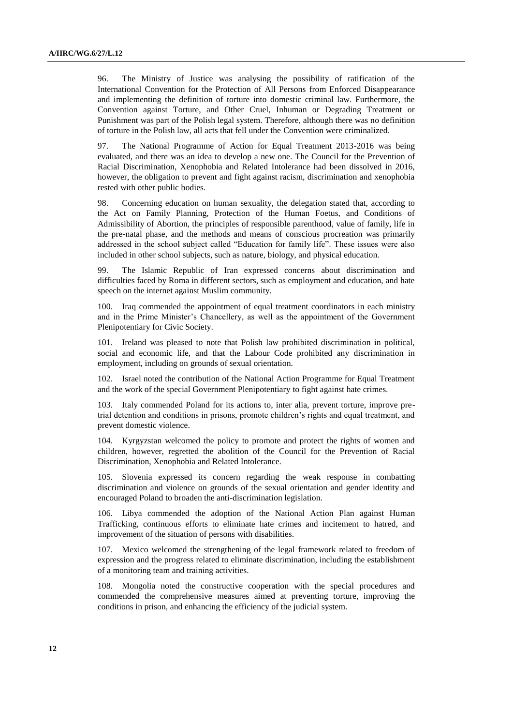96. The Ministry of Justice was analysing the possibility of ratification of the International Convention for the Protection of All Persons from Enforced Disappearance and implementing the definition of torture into domestic criminal law. Furthermore, the Convention against Torture, and Other Cruel, Inhuman or Degrading Treatment or Punishment was part of the Polish legal system. Therefore, although there was no definition of torture in the Polish law, all acts that fell under the Convention were criminalized.

97. The National Programme of Action for Equal Treatment 2013-2016 was being evaluated, and there was an idea to develop a new one. The Council for the Prevention of Racial Discrimination, Xenophobia and Related Intolerance had been dissolved in 2016, however, the obligation to prevent and fight against racism, discrimination and xenophobia rested with other public bodies.

98. Concerning education on human sexuality, the delegation stated that, according to the Act on Family Planning, Protection of the Human Foetus, and Conditions of Admissibility of Abortion, the principles of responsible parenthood, value of family, life in the pre-natal phase, and the methods and means of conscious procreation was primarily addressed in the school subject called "Education for family life". These issues were also included in other school subjects, such as nature, biology, and physical education.

99. The Islamic Republic of Iran expressed concerns about discrimination and difficulties faced by Roma in different sectors, such as employment and education, and hate speech on the internet against Muslim community.

100. Iraq commended the appointment of equal treatment coordinators in each ministry and in the Prime Minister's Chancellery, as well as the appointment of the Government Plenipotentiary for Civic Society.

101. Ireland was pleased to note that Polish law prohibited discrimination in political, social and economic life, and that the Labour Code prohibited any discrimination in employment, including on grounds of sexual orientation.

102. Israel noted the contribution of the National Action Programme for Equal Treatment and the work of the special Government Plenipotentiary to fight against hate crimes.

103. Italy commended Poland for its actions to, inter alia, prevent torture, improve pretrial detention and conditions in prisons, promote children's rights and equal treatment, and prevent domestic violence.

104. Kyrgyzstan welcomed the policy to promote and protect the rights of women and children, however, regretted the abolition of the Council for the Prevention of Racial Discrimination, Xenophobia and Related Intolerance.

105. Slovenia expressed its concern regarding the weak response in combatting discrimination and violence on grounds of the sexual orientation and gender identity and encouraged Poland to broaden the anti-discrimination legislation.

106. Libya commended the adoption of the National Action Plan against Human Trafficking, continuous efforts to eliminate hate crimes and incitement to hatred, and improvement of the situation of persons with disabilities.

107. Mexico welcomed the strengthening of the legal framework related to freedom of expression and the progress related to eliminate discrimination, including the establishment of a monitoring team and training activities.

108. Mongolia noted the constructive cooperation with the special procedures and commended the comprehensive measures aimed at preventing torture, improving the conditions in prison, and enhancing the efficiency of the judicial system.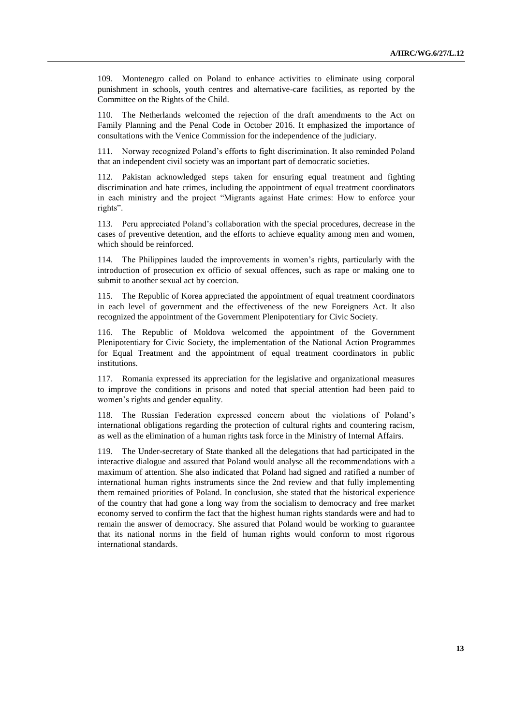109. Montenegro called on Poland to enhance activities to eliminate using corporal punishment in schools, youth centres and alternative-care facilities, as reported by the Committee on the Rights of the Child.

110. The Netherlands welcomed the rejection of the draft amendments to the Act on Family Planning and the Penal Code in October 2016. It emphasized the importance of consultations with the Venice Commission for the independence of the judiciary.

111. Norway recognized Poland's efforts to fight discrimination. It also reminded Poland that an independent civil society was an important part of democratic societies.

112. Pakistan acknowledged steps taken for ensuring equal treatment and fighting discrimination and hate crimes, including the appointment of equal treatment coordinators in each ministry and the project "Migrants against Hate crimes: How to enforce your rights".

113. Peru appreciated Poland's collaboration with the special procedures, decrease in the cases of preventive detention, and the efforts to achieve equality among men and women, which should be reinforced.

114. The Philippines lauded the improvements in women's rights, particularly with the introduction of prosecution ex officio of sexual offences, such as rape or making one to submit to another sexual act by coercion.

115. The Republic of Korea appreciated the appointment of equal treatment coordinators in each level of government and the effectiveness of the new Foreigners Act. It also recognized the appointment of the Government Plenipotentiary for Civic Society.

116. The Republic of Moldova welcomed the appointment of the Government Plenipotentiary for Civic Society, the implementation of the National Action Programmes for Equal Treatment and the appointment of equal treatment coordinators in public institutions.

117. Romania expressed its appreciation for the legislative and organizational measures to improve the conditions in prisons and noted that special attention had been paid to women's rights and gender equality.

118. The Russian Federation expressed concern about the violations of Poland's international obligations regarding the protection of cultural rights and countering racism, as well as the elimination of a human rights task force in the Ministry of Internal Affairs.

119. The Under-secretary of State thanked all the delegations that had participated in the interactive dialogue and assured that Poland would analyse all the recommendations with a maximum of attention. She also indicated that Poland had signed and ratified a number of international human rights instruments since the 2nd review and that fully implementing them remained priorities of Poland. In conclusion, she stated that the historical experience of the country that had gone a long way from the socialism to democracy and free market economy served to confirm the fact that the highest human rights standards were and had to remain the answer of democracy. She assured that Poland would be working to guarantee that its national norms in the field of human rights would conform to most rigorous international standards.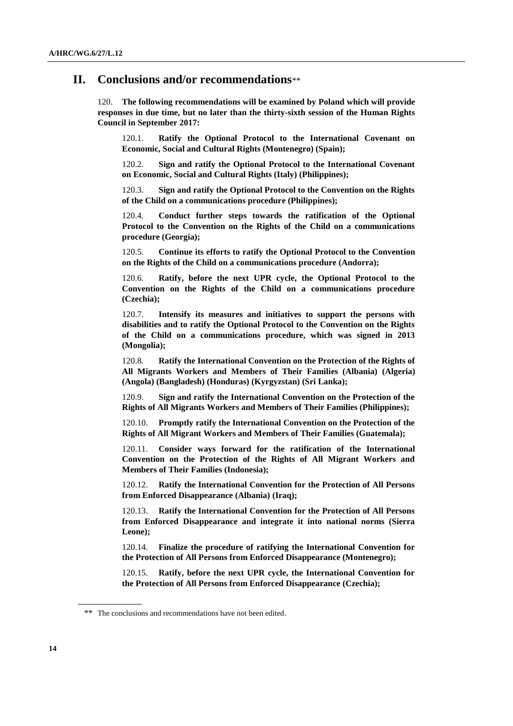### **II. Conclusions and/or recommendations**\*\*

120. **The following recommendations will be examined by Poland which will provide responses in due time, but no later than the thirty-sixth session of the Human Rights Council in September 2017:**

120.1. **Ratify the Optional Protocol to the International Covenant on Economic, Social and Cultural Rights (Montenegro) (Spain);**

120.2. **Sign and ratify the Optional Protocol to the International Covenant on Economic, Social and Cultural Rights (Italy) (Philippines);**

120.3. **Sign and ratify the Optional Protocol to the Convention on the Rights of the Child on a communications procedure (Philippines);**

120.4. **Conduct further steps towards the ratification of the Optional Protocol to the Convention on the Rights of the Child on a communications procedure (Georgia);**

120.5. **Continue its efforts to ratify the Optional Protocol to the Convention on the Rights of the Child on a communications procedure (Andorra);**

120.6. **Ratify, before the next UPR cycle, the Optional Protocol to the Convention on the Rights of the Child on a communications procedure (Czechia);**

120.7. **Intensify its measures and initiatives to support the persons with disabilities and to ratify the Optional Protocol to the Convention on the Rights of the Child on a communications procedure, which was signed in 2013 (Mongolia);**

120.8. **Ratify the International Convention on the Protection of the Rights of All Migrants Workers and Members of Their Families (Albania) (Algeria) (Angola) (Bangladesh) (Honduras) (Kyrgyzstan) (Sri Lanka);**

120.9. **Sign and ratify the International Convention on the Protection of the Rights of All Migrants Workers and Members of Their Families (Philippines);**

120.10. **Promptly ratify the International Convention on the Protection of the Rights of All Migrant Workers and Members of Their Families (Guatemala);**

120.11. **Consider ways forward for the ratification of the International Convention on the Protection of the Rights of All Migrant Workers and Members of Their Families (Indonesia);**

120.12. **Ratify the International Convention for the Protection of All Persons from Enforced Disappearance (Albania) (Iraq);**

120.13. **Ratify the International Convention for the Protection of All Persons from Enforced Disappearance and integrate it into national norms (Sierra Leone);**

120.14. **Finalize the procedure of ratifying the International Convention for the Protection of All Persons from Enforced Disappearance (Montenegro);**

120.15. **Ratify, before the next UPR cycle, the International Convention for the Protection of All Persons from Enforced Disappearance (Czechia);**

<sup>\*\*</sup> The conclusions and recommendations have not been edited.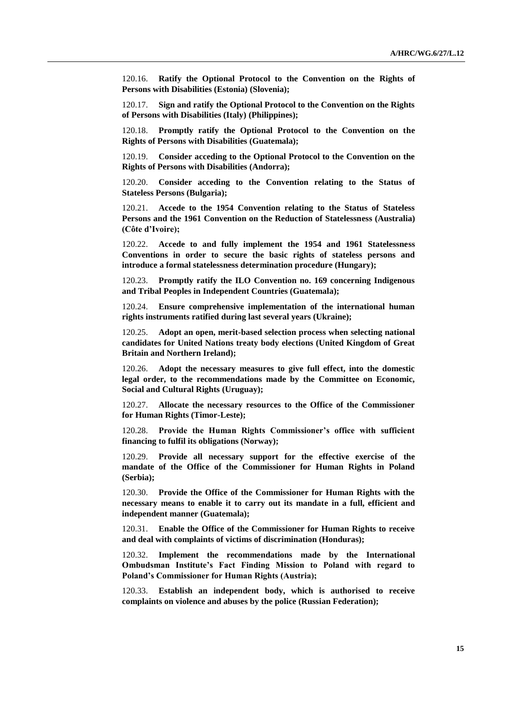120.16. **Ratify the Optional Protocol to the Convention on the Rights of Persons with Disabilities (Estonia) (Slovenia);**

120.17. **Sign and ratify the Optional Protocol to the Convention on the Rights of Persons with Disabilities (Italy) (Philippines);**

120.18. **Promptly ratify the Optional Protocol to the Convention on the Rights of Persons with Disabilities (Guatemala);**

120.19. **Consider acceding to the Optional Protocol to the Convention on the Rights of Persons with Disabilities (Andorra);**

120.20. **Consider acceding to the Convention relating to the Status of Stateless Persons (Bulgaria);**

120.21. **Accede to the 1954 Convention relating to the Status of Stateless Persons and the 1961 Convention on the Reduction of Statelessness (Australia) (Côte d'Ivoire);**

120.22. **Accede to and fully implement the 1954 and 1961 Statelessness Conventions in order to secure the basic rights of stateless persons and introduce a formal statelessness determination procedure (Hungary);**

120.23. **Promptly ratify the ILO Convention no. 169 concerning Indigenous and Tribal Peoples in Independent Countries (Guatemala);**

120.24. **Ensure comprehensive implementation of the international human rights instruments ratified during last several years (Ukraine);**

120.25. **Adopt an open, merit-based selection process when selecting national candidates for United Nations treaty body elections (United Kingdom of Great Britain and Northern Ireland);**

120.26. **Adopt the necessary measures to give full effect, into the domestic legal order, to the recommendations made by the Committee on Economic, Social and Cultural Rights (Uruguay);**

120.27. **Allocate the necessary resources to the Office of the Commissioner for Human Rights (Timor-Leste);**

120.28. **Provide the Human Rights Commissioner's office with sufficient financing to fulfil its obligations (Norway);**

120.29. **Provide all necessary support for the effective exercise of the mandate of the Office of the Commissioner for Human Rights in Poland (Serbia);**

120.30. **Provide the Office of the Commissioner for Human Rights with the necessary means to enable it to carry out its mandate in a full, efficient and independent manner (Guatemala);**

120.31. **Enable the Office of the Commissioner for Human Rights to receive and deal with complaints of victims of discrimination (Honduras);**

120.32. **Implement the recommendations made by the International Ombudsman Institute's Fact Finding Mission to Poland with regard to Poland's Commissioner for Human Rights (Austria);**

120.33. **Establish an independent body, which is authorised to receive complaints on violence and abuses by the police (Russian Federation);**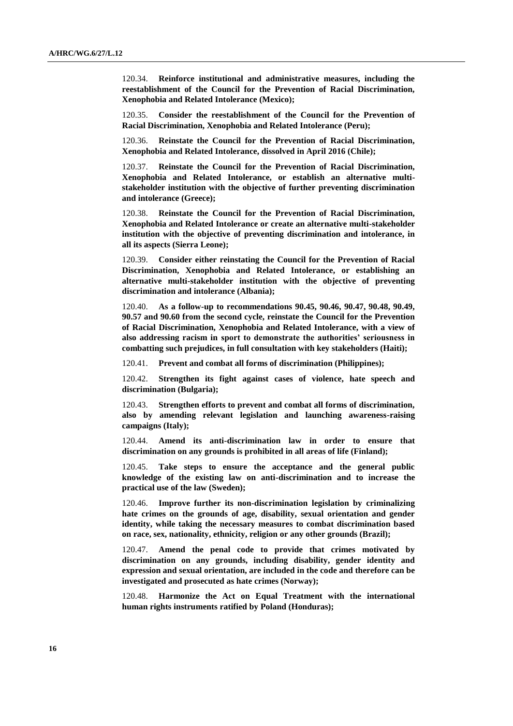120.34. **Reinforce institutional and administrative measures, including the reestablishment of the Council for the Prevention of Racial Discrimination, Xenophobia and Related Intolerance (Mexico);**

120.35. **Consider the reestablishment of the Council for the Prevention of Racial Discrimination, Xenophobia and Related Intolerance (Peru);**

120.36. **Reinstate the Council for the Prevention of Racial Discrimination, Xenophobia and Related Intolerance, dissolved in April 2016 (Chile);**

120.37. **Reinstate the Council for the Prevention of Racial Discrimination, Xenophobia and Related Intolerance, or establish an alternative multistakeholder institution with the objective of further preventing discrimination and intolerance (Greece);**

120.38. **Reinstate the Council for the Prevention of Racial Discrimination, Xenophobia and Related Intolerance or create an alternative multi-stakeholder institution with the objective of preventing discrimination and intolerance, in all its aspects (Sierra Leone);**

120.39. **Consider either reinstating the Council for the Prevention of Racial Discrimination, Xenophobia and Related Intolerance, or establishing an alternative multi-stakeholder institution with the objective of preventing discrimination and intolerance (Albania);**

120.40. **As a follow-up to recommendations 90.45, 90.46, 90.47, 90.48, 90.49, 90.57 and 90.60 from the second cycle, reinstate the Council for the Prevention of Racial Discrimination, Xenophobia and Related Intolerance, with a view of also addressing racism in sport to demonstrate the authorities' seriousness in combatting such prejudices, in full consultation with key stakeholders (Haiti);**

120.41. **Prevent and combat all forms of discrimination (Philippines);**

120.42. **Strengthen its fight against cases of violence, hate speech and discrimination (Bulgaria);**

120.43. **Strengthen efforts to prevent and combat all forms of discrimination, also by amending relevant legislation and launching awareness-raising campaigns (Italy);**

120.44. **Amend its anti-discrimination law in order to ensure that discrimination on any grounds is prohibited in all areas of life (Finland);**

120.45. **Take steps to ensure the acceptance and the general public knowledge of the existing law on anti-discrimination and to increase the practical use of the law (Sweden);**

120.46. **Improve further its non-discrimination legislation by criminalizing hate crimes on the grounds of age, disability, sexual orientation and gender identity, while taking the necessary measures to combat discrimination based on race, sex, nationality, ethnicity, religion or any other grounds (Brazil);**

120.47. **Amend the penal code to provide that crimes motivated by discrimination on any grounds, including disability, gender identity and expression and sexual orientation, are included in the code and therefore can be investigated and prosecuted as hate crimes (Norway);**

120.48. **Harmonize the Act on Equal Treatment with the international human rights instruments ratified by Poland (Honduras);**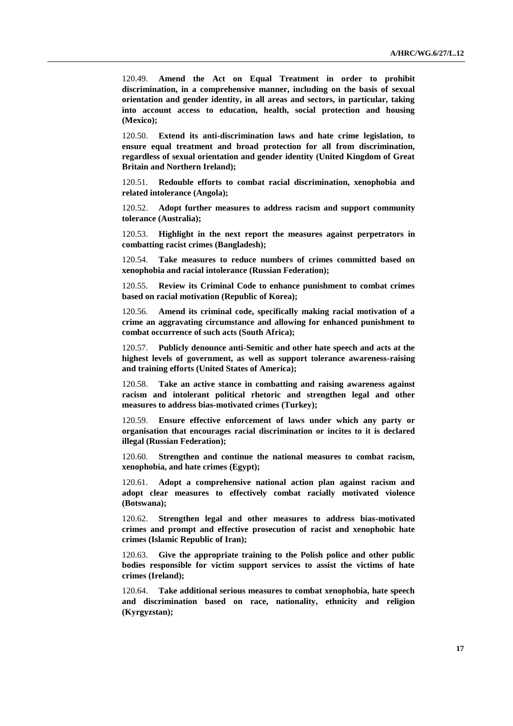120.49. **Amend the Act on Equal Treatment in order to prohibit discrimination, in a comprehensive manner, including on the basis of sexual orientation and gender identity, in all areas and sectors, in particular, taking into account access to education, health, social protection and housing (Mexico);**

120.50. **Extend its anti-discrimination laws and hate crime legislation, to ensure equal treatment and broad protection for all from discrimination, regardless of sexual orientation and gender identity (United Kingdom of Great Britain and Northern Ireland);**

120.51. **Redouble efforts to combat racial discrimination, xenophobia and related intolerance (Angola);**

120.52. **Adopt further measures to address racism and support community tolerance (Australia);**

120.53. **Highlight in the next report the measures against perpetrators in combatting racist crimes (Bangladesh);**

120.54. **Take measures to reduce numbers of crimes committed based on xenophobia and racial intolerance (Russian Federation);**

120.55. **Review its Criminal Code to enhance punishment to combat crimes based on racial motivation (Republic of Korea);**

120.56. **Amend its criminal code, specifically making racial motivation of a crime an aggravating circumstance and allowing for enhanced punishment to combat occurrence of such acts (South Africa);**

120.57. **Publicly denounce anti-Semitic and other hate speech and acts at the highest levels of government, as well as support tolerance awareness-raising and training efforts (United States of America);**

120.58. **Take an active stance in combatting and raising awareness against racism and intolerant political rhetoric and strengthen legal and other measures to address bias-motivated crimes (Turkey);**

120.59. **Ensure effective enforcement of laws under which any party or organisation that encourages racial discrimination or incites to it is declared illegal (Russian Federation);**

120.60. **Strengthen and continue the national measures to combat racism, xenophobia, and hate crimes (Egypt);**

120.61. **Adopt a comprehensive national action plan against racism and adopt clear measures to effectively combat racially motivated violence (Botswana);**

120.62. **Strengthen legal and other measures to address bias-motivated crimes and prompt and effective prosecution of racist and xenophobic hate crimes (Islamic Republic of Iran);**

120.63. **Give the appropriate training to the Polish police and other public bodies responsible for victim support services to assist the victims of hate crimes (Ireland);**

120.64. **Take additional serious measures to combat xenophobia, hate speech and discrimination based on race, nationality, ethnicity and religion (Kyrgyzstan);**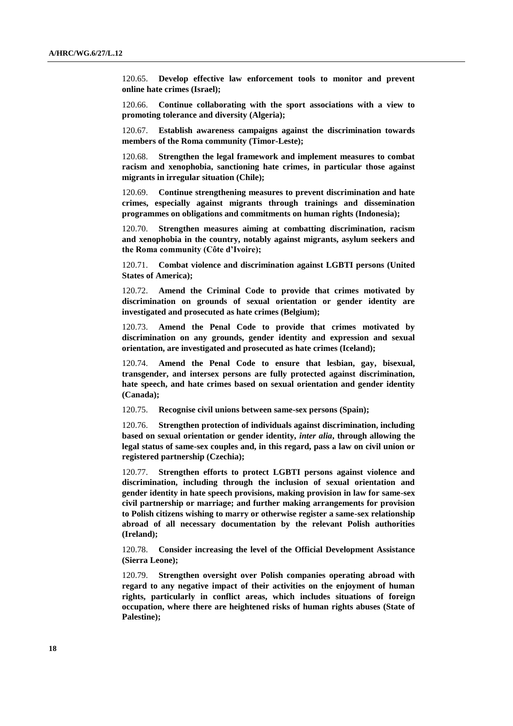120.65. **Develop effective law enforcement tools to monitor and prevent online hate crimes (Israel);**

120.66. **Continue collaborating with the sport associations with a view to promoting tolerance and diversity (Algeria);**

120.67. **Establish awareness campaigns against the discrimination towards members of the Roma community (Timor-Leste);**

120.68. **Strengthen the legal framework and implement measures to combat racism and xenophobia, sanctioning hate crimes, in particular those against migrants in irregular situation (Chile);**

120.69. **Continue strengthening measures to prevent discrimination and hate crimes, especially against migrants through trainings and dissemination programmes on obligations and commitments on human rights (Indonesia);**

120.70. **Strengthen measures aiming at combatting discrimination, racism and xenophobia in the country, notably against migrants, asylum seekers and the Roma community (Côte d'Ivoire);**

120.71. **Combat violence and discrimination against LGBTI persons (United States of America);**

120.72. **Amend the Criminal Code to provide that crimes motivated by discrimination on grounds of sexual orientation or gender identity are investigated and prosecuted as hate crimes (Belgium);**

120.73. **Amend the Penal Code to provide that crimes motivated by discrimination on any grounds, gender identity and expression and sexual orientation, are investigated and prosecuted as hate crimes (Iceland);**

120.74. **Amend the Penal Code to ensure that lesbian, gay, bisexual, transgender, and intersex persons are fully protected against discrimination, hate speech, and hate crimes based on sexual orientation and gender identity (Canada);**

120.75. **Recognise civil unions between same-sex persons (Spain);**

120.76. **Strengthen protection of individuals against discrimination, including based on sexual orientation or gender identity,** *inter alia***, through allowing the legal status of same-sex couples and, in this regard, pass a law on civil union or registered partnership (Czechia);**

120.77. **Strengthen efforts to protect LGBTI persons against violence and discrimination, including through the inclusion of sexual orientation and gender identity in hate speech provisions, making provision in law for same-sex civil partnership or marriage; and further making arrangements for provision to Polish citizens wishing to marry or otherwise register a same-sex relationship abroad of all necessary documentation by the relevant Polish authorities (Ireland);**

120.78. **Consider increasing the level of the Official Development Assistance (Sierra Leone);**

120.79. **Strengthen oversight over Polish companies operating abroad with regard to any negative impact of their activities on the enjoyment of human rights, particularly in conflict areas, which includes situations of foreign occupation, where there are heightened risks of human rights abuses (State of Palestine);**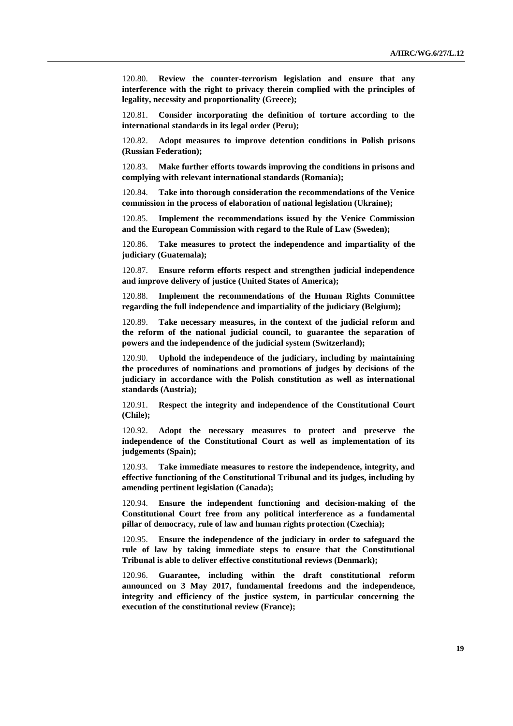120.80. **Review the counter-terrorism legislation and ensure that any interference with the right to privacy therein complied with the principles of legality, necessity and proportionality (Greece);**

120.81. **Consider incorporating the definition of torture according to the international standards in its legal order (Peru);**

120.82. **Adopt measures to improve detention conditions in Polish prisons (Russian Federation);**

120.83. **Make further efforts towards improving the conditions in prisons and complying with relevant international standards (Romania);**

120.84. **Take into thorough consideration the recommendations of the Venice commission in the process of elaboration of national legislation (Ukraine);**

120.85. **Implement the recommendations issued by the Venice Commission and the European Commission with regard to the Rule of Law (Sweden);**

120.86. **Take measures to protect the independence and impartiality of the judiciary (Guatemala);**

120.87. **Ensure reform efforts respect and strengthen judicial independence and improve delivery of justice (United States of America);**

120.88. **Implement the recommendations of the Human Rights Committee regarding the full independence and impartiality of the judiciary (Belgium);**

120.89. **Take necessary measures, in the context of the judicial reform and the reform of the national judicial council, to guarantee the separation of powers and the independence of the judicial system (Switzerland);**

120.90. **Uphold the independence of the judiciary, including by maintaining the procedures of nominations and promotions of judges by decisions of the judiciary in accordance with the Polish constitution as well as international standards (Austria);**

120.91. **Respect the integrity and independence of the Constitutional Court (Chile);**

120.92. **Adopt the necessary measures to protect and preserve the independence of the Constitutional Court as well as implementation of its judgements (Spain);**

120.93. **Take immediate measures to restore the independence, integrity, and effective functioning of the Constitutional Tribunal and its judges, including by amending pertinent legislation (Canada);**

120.94. **Ensure the independent functioning and decision-making of the Constitutional Court free from any political interference as a fundamental pillar of democracy, rule of law and human rights protection (Czechia);**

120.95. **Ensure the independence of the judiciary in order to safeguard the rule of law by taking immediate steps to ensure that the Constitutional Tribunal is able to deliver effective constitutional reviews (Denmark);**

120.96. **Guarantee, including within the draft constitutional reform announced on 3 May 2017, fundamental freedoms and the independence, integrity and efficiency of the justice system, in particular concerning the execution of the constitutional review (France);**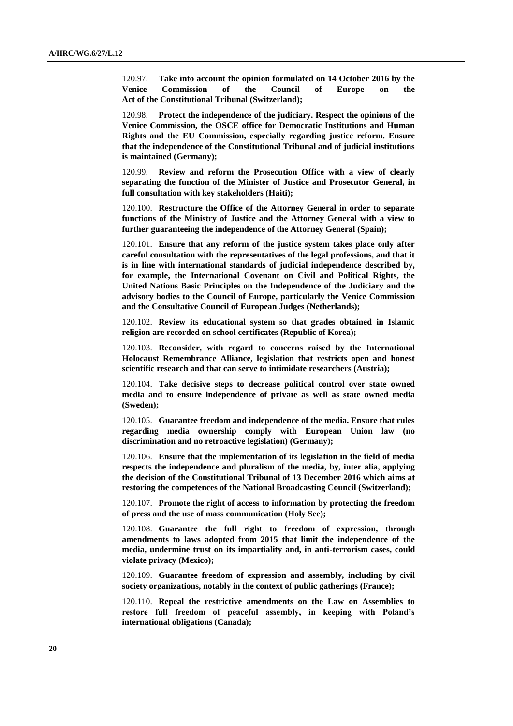120.97. **Take into account the opinion formulated on 14 October 2016 by the Venice Commission of the Council of Europe on the Act of the Constitutional Tribunal (Switzerland);**

120.98. **Protect the independence of the judiciary. Respect the opinions of the Venice Commission, the OSCE office for Democratic Institutions and Human Rights and the EU Commission, especially regarding justice reform. Ensure that the independence of the Constitutional Tribunal and of judicial institutions is maintained (Germany);**

120.99. **Review and reform the Prosecution Office with a view of clearly separating the function of the Minister of Justice and Prosecutor General, in full consultation with key stakeholders (Haiti);**

120.100. **Restructure the Office of the Attorney General in order to separate functions of the Ministry of Justice and the Attorney General with a view to further guaranteeing the independence of the Attorney General (Spain);**

120.101. **Ensure that any reform of the justice system takes place only after careful consultation with the representatives of the legal professions, and that it is in line with international standards of judicial independence described by, for example, the International Covenant on Civil and Political Rights, the United Nations Basic Principles on the Independence of the Judiciary and the advisory bodies to the Council of Europe, particularly the Venice Commission and the Consultative Council of European Judges (Netherlands);**

120.102. **Review its educational system so that grades obtained in Islamic religion are recorded on school certificates (Republic of Korea);**

120.103. **Reconsider, with regard to concerns raised by the International Holocaust Remembrance Alliance, legislation that restricts open and honest scientific research and that can serve to intimidate researchers (Austria);**

120.104. **Take decisive steps to decrease political control over state owned media and to ensure independence of private as well as state owned media (Sweden);**

120.105. **Guarantee freedom and independence of the media. Ensure that rules regarding media ownership comply with European Union law (no discrimination and no retroactive legislation) (Germany);**

120.106. **Ensure that the implementation of its legislation in the field of media respects the independence and pluralism of the media, by, inter alia, applying the decision of the Constitutional Tribunal of 13 December 2016 which aims at restoring the competences of the National Broadcasting Council (Switzerland);**

120.107. **Promote the right of access to information by protecting the freedom of press and the use of mass communication (Holy See);**

120.108. **Guarantee the full right to freedom of expression, through amendments to laws adopted from 2015 that limit the independence of the media, undermine trust on its impartiality and, in anti-terrorism cases, could violate privacy (Mexico);**

120.109. **Guarantee freedom of expression and assembly, including by civil society organizations, notably in the context of public gatherings (France);**

120.110. **Repeal the restrictive amendments on the Law on Assemblies to restore full freedom of peaceful assembly, in keeping with Poland's international obligations (Canada);**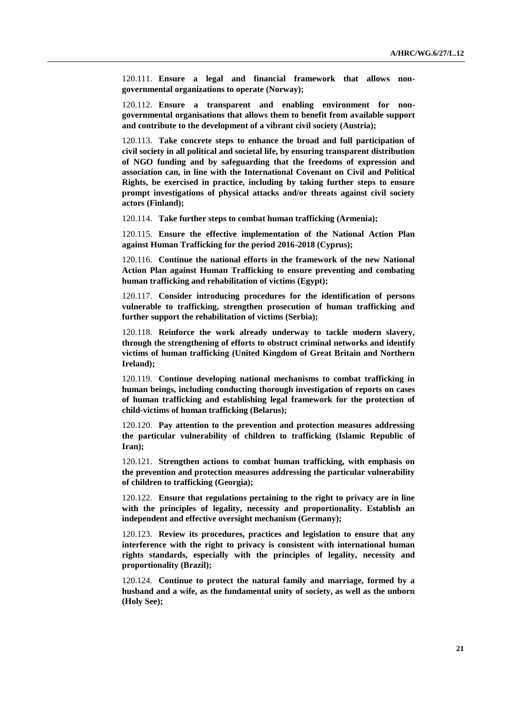120.111. **Ensure a legal and financial framework that allows nongovernmental organizations to operate (Norway);**

120.112. **Ensure a transparent and enabling environment for nongovernmental organisations that allows them to benefit from available support and contribute to the development of a vibrant civil society (Austria);**

120.113. **Take concrete steps to enhance the broad and full participation of civil society in all political and societal life, by ensuring transparent distribution of NGO funding and by safeguarding that the freedoms of expression and association can, in line with the International Covenant on Civil and Political Rights, be exercised in practice, including by taking further steps to ensure prompt investigations of physical attacks and/or threats against civil society actors (Finland);**

120.114. **Take further steps to combat human trafficking (Armenia);**

120.115. **Ensure the effective implementation of the National Action Plan against Human Trafficking for the period 2016-2018 (Cyprus);**

120.116. **Continue the national efforts in the framework of the new National Action Plan against Human Trafficking to ensure preventing and combating human trafficking and rehabilitation of victims (Egypt);**

120.117. **Consider introducing procedures for the identification of persons vulnerable to trafficking, strengthen prosecution of human trafficking and further support the rehabilitation of victims (Serbia);**

120.118. **Reinforce the work already underway to tackle modern slavery, through the strengthening of efforts to obstruct criminal networks and identify victims of human trafficking (United Kingdom of Great Britain and Northern Ireland);**

120.119. **Continue developing national mechanisms to combat trafficking in human beings, including conducting thorough investigation of reports on cases of human trafficking and establishing legal framework for the protection of child-victims of human trafficking (Belarus);**

120.120. **Pay attention to the prevention and protection measures addressing the particular vulnerability of children to trafficking (Islamic Republic of Iran);**

120.121. **Strengthen actions to combat human trafficking, with emphasis on the prevention and protection measures addressing the particular vulnerability of children to trafficking (Georgia);**

120.122. **Ensure that regulations pertaining to the right to privacy are in line with the principles of legality, necessity and proportionality. Establish an independent and effective oversight mechanism (Germany);**

120.123. **Review its procedures, practices and legislation to ensure that any interference with the right to privacy is consistent with international human rights standards, especially with the principles of legality, necessity and proportionality (Brazil);**

120.124. **Continue to protect the natural family and marriage, formed by a husband and a wife, as the fundamental unity of society, as well as the unborn (Holy See);**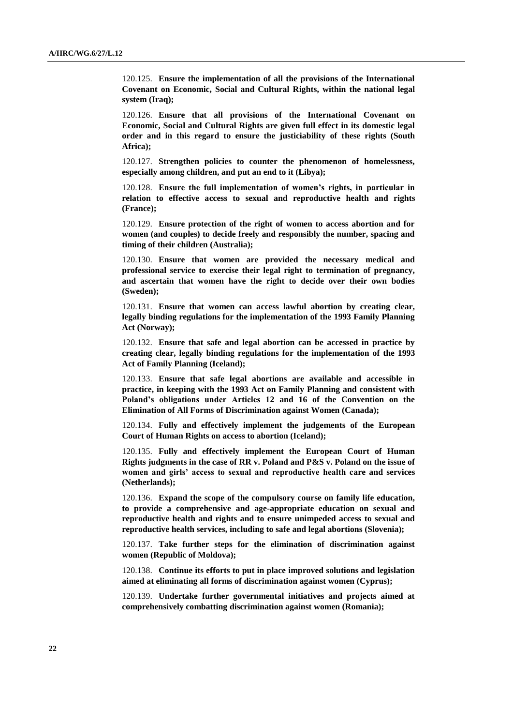120.125. **Ensure the implementation of all the provisions of the International Covenant on Economic, Social and Cultural Rights, within the national legal system (Iraq);**

120.126. **Ensure that all provisions of the International Covenant on Economic, Social and Cultural Rights are given full effect in its domestic legal order and in this regard to ensure the justiciability of these rights (South Africa);**

120.127. **Strengthen policies to counter the phenomenon of homelessness, especially among children, and put an end to it (Libya);**

120.128. **Ensure the full implementation of women's rights, in particular in relation to effective access to sexual and reproductive health and rights (France);**

120.129. **Ensure protection of the right of women to access abortion and for women (and couples) to decide freely and responsibly the number, spacing and timing of their children (Australia);**

120.130. **Ensure that women are provided the necessary medical and professional service to exercise their legal right to termination of pregnancy, and ascertain that women have the right to decide over their own bodies (Sweden);**

120.131. **Ensure that women can access lawful abortion by creating clear, legally binding regulations for the implementation of the 1993 Family Planning Act (Norway);**

120.132. **Ensure that safe and legal abortion can be accessed in practice by creating clear, legally binding regulations for the implementation of the 1993 Act of Family Planning (Iceland);**

120.133. **Ensure that safe legal abortions are available and accessible in practice, in keeping with the 1993 Act on Family Planning and consistent with Poland's obligations under Articles 12 and 16 of the Convention on the Elimination of All Forms of Discrimination against Women (Canada);**

120.134. **Fully and effectively implement the judgements of the European Court of Human Rights on access to abortion (Iceland);**

120.135. **Fully and effectively implement the European Court of Human Rights judgments in the case of RR v. Poland and P&S v. Poland on the issue of women and girls' access to sexual and reproductive health care and services (Netherlands);**

120.136. **Expand the scope of the compulsory course on family life education, to provide a comprehensive and age-appropriate education on sexual and reproductive health and rights and to ensure unimpeded access to sexual and reproductive health services, including to safe and legal abortions (Slovenia);**

120.137. **Take further steps for the elimination of discrimination against women (Republic of Moldova);**

120.138. **Continue its efforts to put in place improved solutions and legislation aimed at eliminating all forms of discrimination against women (Cyprus);**

120.139. **Undertake further governmental initiatives and projects aimed at comprehensively combatting discrimination against women (Romania);**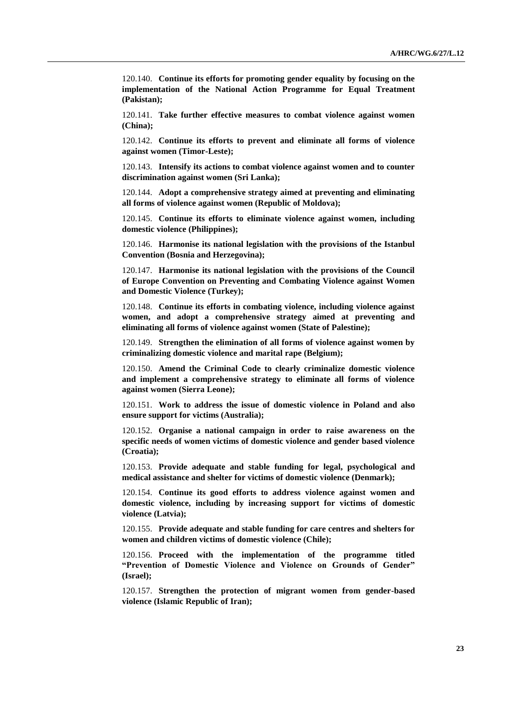120.140. **Continue its efforts for promoting gender equality by focusing on the implementation of the National Action Programme for Equal Treatment (Pakistan);**

120.141. **Take further effective measures to combat violence against women (China);**

120.142. **Continue its efforts to prevent and eliminate all forms of violence against women (Timor-Leste);**

120.143. **Intensify its actions to combat violence against women and to counter discrimination against women (Sri Lanka);**

120.144. **Adopt a comprehensive strategy aimed at preventing and eliminating all forms of violence against women (Republic of Moldova);**

120.145. **Continue its efforts to eliminate violence against women, including domestic violence (Philippines);**

120.146. **Harmonise its national legislation with the provisions of the Istanbul Convention (Bosnia and Herzegovina);**

120.147. **Harmonise its national legislation with the provisions of the Council of Europe Convention on Preventing and Combating Violence against Women and Domestic Violence (Turkey);**

120.148. **Continue its efforts in combating violence, including violence against women, and adopt a comprehensive strategy aimed at preventing and eliminating all forms of violence against women (State of Palestine);**

120.149. **Strengthen the elimination of all forms of violence against women by criminalizing domestic violence and marital rape (Belgium);**

120.150. **Amend the Criminal Code to clearly criminalize domestic violence and implement a comprehensive strategy to eliminate all forms of violence against women (Sierra Leone);**

120.151. **Work to address the issue of domestic violence in Poland and also ensure support for victims (Australia);**

120.152. **Organise a national campaign in order to raise awareness on the specific needs of women victims of domestic violence and gender based violence (Croatia);**

120.153. **Provide adequate and stable funding for legal, psychological and medical assistance and shelter for victims of domestic violence (Denmark);**

120.154. **Continue its good efforts to address violence against women and domestic violence, including by increasing support for victims of domestic violence (Latvia);**

120.155. **Provide adequate and stable funding for care centres and shelters for women and children victims of domestic violence (Chile);**

120.156. **Proceed with the implementation of the programme titled "Prevention of Domestic Violence and Violence on Grounds of Gender" (Israel);**

120.157. **Strengthen the protection of migrant women from gender-based violence (Islamic Republic of Iran);**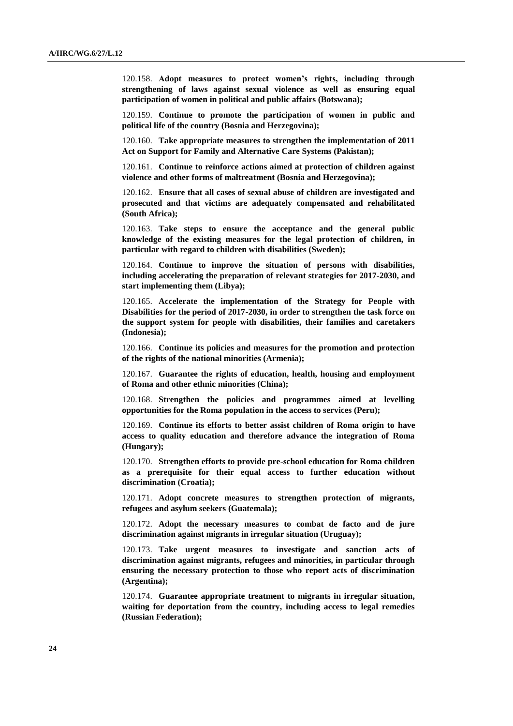120.158. **Adopt measures to protect women's rights, including through strengthening of laws against sexual violence as well as ensuring equal participation of women in political and public affairs (Botswana);**

120.159. **Continue to promote the participation of women in public and political life of the country (Bosnia and Herzegovina);**

120.160. **Take appropriate measures to strengthen the implementation of 2011 Act on Support for Family and Alternative Care Systems (Pakistan);**

120.161. **Continue to reinforce actions aimed at protection of children against violence and other forms of maltreatment (Bosnia and Herzegovina);**

120.162. **Ensure that all cases of sexual abuse of children are investigated and prosecuted and that victims are adequately compensated and rehabilitated (South Africa);**

120.163. **Take steps to ensure the acceptance and the general public knowledge of the existing measures for the legal protection of children, in particular with regard to children with disabilities (Sweden);**

120.164. **Continue to improve the situation of persons with disabilities, including accelerating the preparation of relevant strategies for 2017-2030, and start implementing them (Libya);**

120.165. **Accelerate the implementation of the Strategy for People with Disabilities for the period of 2017-2030, in order to strengthen the task force on the support system for people with disabilities, their families and caretakers (Indonesia);**

120.166. **Continue its policies and measures for the promotion and protection of the rights of the national minorities (Armenia);**

120.167. **Guarantee the rights of education, health, housing and employment of Roma and other ethnic minorities (China);**

120.168. **Strengthen the policies and programmes aimed at levelling opportunities for the Roma population in the access to services (Peru);**

120.169. **Continue its efforts to better assist children of Roma origin to have access to quality education and therefore advance the integration of Roma (Hungary);**

120.170. **Strengthen efforts to provide pre-school education for Roma children as a prerequisite for their equal access to further education without discrimination (Croatia);**

120.171. **Adopt concrete measures to strengthen protection of migrants, refugees and asylum seekers (Guatemala);**

120.172. **Adopt the necessary measures to combat de facto and de jure discrimination against migrants in irregular situation (Uruguay);**

120.173. **Take urgent measures to investigate and sanction acts of discrimination against migrants, refugees and minorities, in particular through ensuring the necessary protection to those who report acts of discrimination (Argentina);**

120.174. **Guarantee appropriate treatment to migrants in irregular situation, waiting for deportation from the country, including access to legal remedies (Russian Federation);**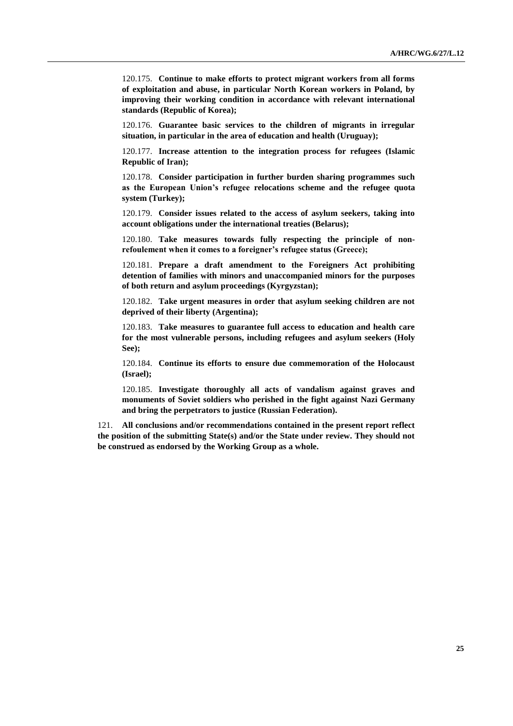120.175. **Continue to make efforts to protect migrant workers from all forms of exploitation and abuse, in particular North Korean workers in Poland, by improving their working condition in accordance with relevant international standards (Republic of Korea);**

120.176. **Guarantee basic services to the children of migrants in irregular situation, in particular in the area of education and health (Uruguay);**

120.177. **Increase attention to the integration process for refugees (Islamic Republic of Iran);**

120.178. **Consider participation in further burden sharing programmes such as the European Union's refugee relocations scheme and the refugee quota system (Turkey);**

120.179. **Consider issues related to the access of asylum seekers, taking into account obligations under the international treaties (Belarus);**

120.180. **Take measures towards fully respecting the principle of nonrefoulement when it comes to a foreigner's refugee status (Greece);**

120.181. **Prepare a draft amendment to the Foreigners Act prohibiting detention of families with minors and unaccompanied minors for the purposes of both return and asylum proceedings (Kyrgyzstan);**

120.182. **Take urgent measures in order that asylum seeking children are not deprived of their liberty (Argentina);**

120.183. **Take measures to guarantee full access to education and health care for the most vulnerable persons, including refugees and asylum seekers (Holy See);**

120.184. **Continue its efforts to ensure due commemoration of the Holocaust (Israel);**

120.185. **Investigate thoroughly all acts of vandalism against graves and monuments of Soviet soldiers who perished in the fight against Nazi Germany and bring the perpetrators to justice (Russian Federation).**

121. **All conclusions and/or recommendations contained in the present report reflect the position of the submitting State(s) and/or the State under review. They should not be construed as endorsed by the Working Group as a whole.**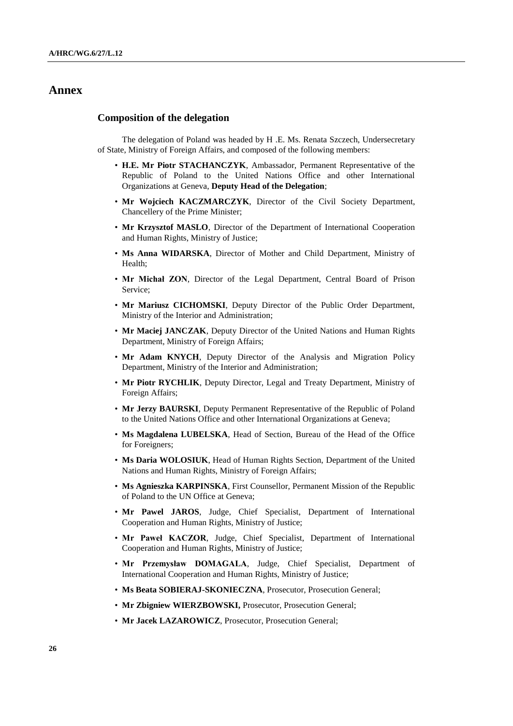## **Annex**

#### **Composition of the delegation**

The delegation of Poland was headed by H .E. Ms. Renata Szczech, Undersecretary of State, Ministry of Foreign Affairs, and composed of the following members:

- **H.E. Mr Piotr STACHANCZYK**, Ambassador, Permanent Representative of the Republic of Poland to the United Nations Office and other International Organizations at Geneva, **Deputy Head of the Delegation**;
- **Mr Wojciech KACZMARCZYK**, Director of the Civil Society Department, Chancellery of the Prime Minister;
- **Mr Krzysztof MASLO**, Director of the Department of International Cooperation and Human Rights, Ministry of Justice;
- **Ms Anna WIDARSKA**, Director of Mother and Child Department, Ministry of Health;
- **Mr Michał ZON**, Director of the Legal Department, Central Board of Prison Service;
- **Mr Mariusz CICHOMSKI**, Deputy Director of the Public Order Department, Ministry of the Interior and Administration;
- **Mr Maciej JANCZAK**, Deputy Director of the United Nations and Human Rights Department, Ministry of Foreign Affairs;
- **Mr Adam KNYCH**, Deputy Director of the Analysis and Migration Policy Department, Ministry of the Interior and Administration;
- **Mr Piotr RYCHLIK**, Deputy Director, Legal and Treaty Department, Ministry of Foreign Affairs;
- **Mr Jerzy BAURSKI**, Deputy Permanent Representative of the Republic of Poland to the United Nations Office and other International Organizations at Geneva;
- **Ms Magdalena LUBELSKA**, Head of Section, Bureau of the Head of the Office for Foreigners;
- **Ms Daria WOLOSIUK**, Head of Human Rights Section, Department of the United Nations and Human Rights, Ministry of Foreign Affairs;
- **Ms Agnieszka KARPINSKA**, First Counsellor, Permanent Mission of the Republic of Poland to the UN Office at Geneva;
- **Mr Pawel JAROS**, Judge, Chief Specialist, Department of International Cooperation and Human Rights, Ministry of Justice;
- **Mr Paweł KACZOR**, Judge, Chief Specialist, Department of International Cooperation and Human Rights, Ministry of Justice;
- **Mr Przemysław DOMAGALA**, Judge, Chief Specialist, Department of International Cooperation and Human Rights, Ministry of Justice;
- **Ms Beata SOBIERAJ-SKONIECZNA**, Prosecutor, Prosecution General;
- **Mr Zbigniew WIERZBOWSKI,** Prosecutor, Prosecution General;
- **Mr Jacek LAZAROWICZ**, Prosecutor, Prosecution General;